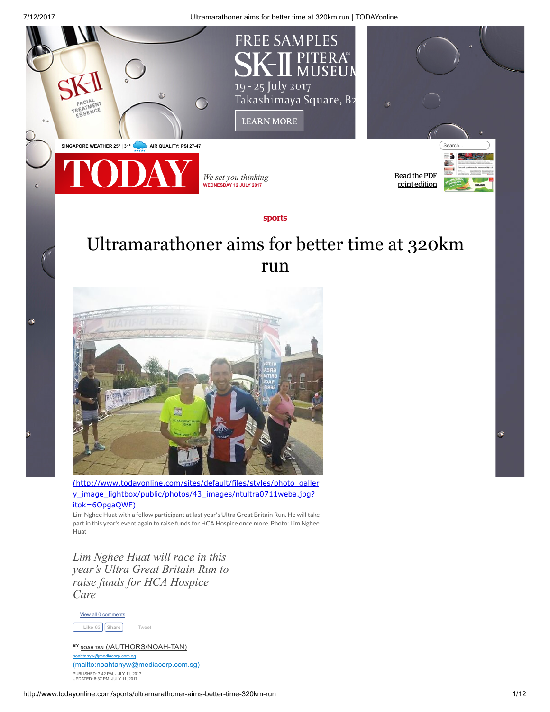7/12/2017 Ultramarathoner aims for better time at 320km run | TODAYonline **FREE SAMPLES** PITERA® **MUSEUN** 19 - 25 July 2017 Takashimaya Square, B2 **LEARN MORE** SINGAPORE WEATHER 25° | 31° AIR QUALITY: PSI 27-47 Read the PDF *We set you thinking* print [edition](http://www.todayonline.com/print-edition) WEDNESDAY 12 JULY 2017

## sports

## Ultramarathoner aims for better time at 320km run



[\(http://www.todayonline.com/sites/default/files/styles/photo\\_galler](http://www.todayonline.com/sites/default/files/styles/photo_gallery_image_lightbox/public/photos/43_images/ntultra0711weba.jpg?itok=6OpgaQWF) y\_image\_lightbox/public/photos/43\_images/ntultra0711weba.jpg? itok=6OpgaQWF)

Lim Nghee Huat with a fellow participant at last year's Ultra Great Britain Run. He will take part in this year's event again to raise funds for HCA Hospice once more. Photo: Lim Nghee Huat

*Lim Nghee Huat will race in this year's Ultra Great Britain Run to raise funds for HCA Hospice Care*



ò.

NOAH TAN [\(/AUTHORS/NOAH-TAN\)](http://www.todayonline.com/authors/noah-tan) noahtanyw@mediacorp.com.sg [\(mailto:noahtanyw@mediacorp.com.sg\)](mailto:noahtanyw@mediacorp.com.sg) PUBLISHED: 7:42 PM, JULY 11, 2017 UPDATED: 8:37 PM, JULY 11, 2017

ò.